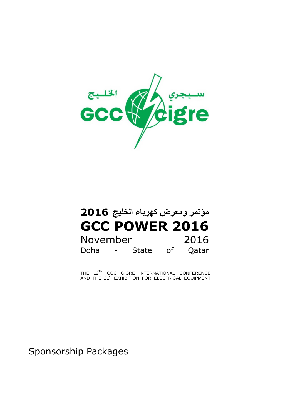

# **مؤتمر ومعرض كهرباء الخليج 2016 GCC POWER 2016** November 2016 Doha - State of Qatar

THE 12<sup>TH</sup> GCC CIGRE INTERNATIONAL CONFERENCE AND THE 21<sup>st</sup> EXHIBITION FOR ELECTRICAL EQUIPMENT

Sponsorship Packages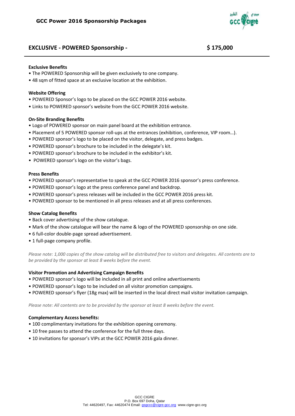# **EXCLUSIVE - POWERED Sponsorship - \$ 175,000**



#### **Exclusive Benefits**

- The POWERED Sponsorship will be given exclusively to one company.
- 48 sqm of fitted space at an exclusive location at the exhibition.

#### **Website Offering**

- POWERED Sponsor's logo to be placed on the GCC POWER 2016 website.
- Links to POWERED sponsor's website from the GCC POWER 2016 website.

#### **On-Site Branding Benefits**

- Logo of POWERED sponsor on main panel board at the exhibition entrance.
- Placement of 5 POWERED sponsor roll-ups at the entrances (exhibition, conference, VIP room…).
- POWERED sponsor's logo to be placed on the visitor, delegate, and press badges.
- POWERED sponsor's brochure to be included in the delegate's kit.
- POWERED sponsor's brochure to be included in the exhibitor's kit.
- POWERED sponsor's logo on the visitor's bags.

#### **Press Benefits**

- POWERED sponsor's representative to speak at the GCC POWER 2016 sponsor's press conference.
- POWERED sponsor's logo at the press conference panel and backdrop.
- POWERED sponsor's press releases will be included in the GCC POWER 2016 press kit.
- POWERED sponsor to be mentioned in all press releases and at all press conferences.

#### **Show Catalog Benefits**

- Back cover advertising of the show catalogue.
- Mark of the show catalogue will bear the name & logo of the POWERED sponsorship on one side.
- 6 full-color double-page spread advertisement.
- 1 full-page company profile.

*Please note: 1,000 copies of the show catalog will be distributed free to visitors and delegates. All contents are to be provided by the sponsor at least 8 weeks before the event.*

#### **Visitor Promotion and Advertising Campaign Benefits**

- POWERED sponsor's logo will be included in all print and online advertisements
- POWERED sponsor's logo to be included on all visitor promotion campaigns.
- POWERED sponsor's flyer (18g max) will be inserted in the local direct mail visitor invitation campaign.

*Please note: All contents are to be provided by the sponsor at least 8 weeks before the event.*

- 100 complimentary invitations for the exhibition opening ceremony.
- 10 free passes to attend the conference for the full three days.
- 10 invitations for sponsor's VIPs at the GCC POWER 2016 gala dinner.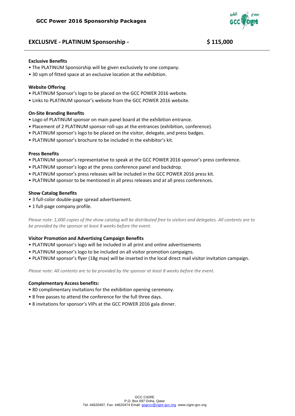

# **EXCLUSIVE - PLATINUM Sponsorship - \$ 115,000**

#### **Exclusive Benefits**

- The PLATINUM Sponsorship will be given exclusively to one company.
- 30 sam of fitted space at an exclusive location at the exhibition.

#### **Website Offering**

- PLATINUM Sponsor's logo to be placed on the GCC POWER 2016 website.
- Links to PLATINUM sponsor's website from the GCC POWER 2016 website.

#### **On-Site Branding Benefits**

- Logo of PLATINUM sponsor on main panel board at the exhibition entrance.
- Placement of 2 PLATINUM sponsor roll-ups at the entrances (exhibition, conference).
- PLATINUM sponsor's logo to be placed on the visitor, delegate, and press badges.
- PLATINUM sponsor's brochure to be included in the exhibitor's kit.

#### **Press Benefits**

- PLATINUM sponsor's representative to speak at the GCC POWER 2016 sponsor's press conference.
- PLATINUM sponsor's logo at the press conference panel and backdrop.
- PLATINUM sponsor's press releases will be included in the GCC POWER 2016 press kit.
- PLATINUM sponsor to be mentioned in all press releases and at all press conferences.

#### **Show Catalog Benefits**

- 3 full-color double-page spread advertisement.
- 1 full-page company profile.

*Please note: 1,000 copies of the show catalog will be distributed free to visitors and delegates. All contents are to be provided by the sponsor at least 8 weeks before the event.*

#### **Visitor Promotion and Advertising Campaign Benefits**

- PLATINUM sponsor's logo will be included in all print and online advertisements
- PLATINUM sponsor's logo to be included on all visitor promotion campaigns.
- PLATINUM sponsor's flyer (18g max) will be inserted in the local direct mail visitor invitation campaign.

*Please note: All contents are to be provided by the sponsor at least 8 weeks before the event.*

- 80 complimentary invitations for the exhibition opening ceremony.
- 8 free passes to attend the conference for the full three days.
- 8 invitations for sponsor's VIPs at the GCC POWER 2016 gala dinner.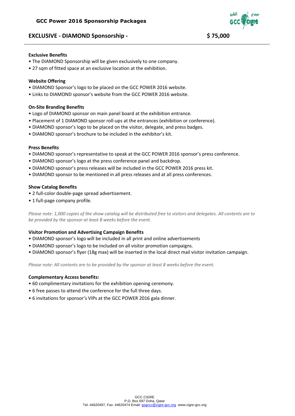# **EXCLUSIVE - DIAMOND Sponsorship - \$ 75,000**



#### **Exclusive Benefits**

- The DIAMOND Sponsorship will be given exclusively to one company.
- 27 sqm of fitted space at an exclusive location at the exhibition.

#### **Website Offering**

- DIAMOND Sponsor's logo to be placed on the GCC POWER 2016 website.
- Links to DIAMOND sponsor's website from the GCC POWER 2016 website.

#### **On-Site Branding Benefits**

- Logo of DIAMOND sponsor on main panel board at the exhibition entrance.
- Placement of 1 DIAMOND sponsor roll-ups at the entrances (exhibition or conference).
- DIAMOND sponsor's logo to be placed on the visitor, delegate, and press badges.
- DIAMOND sponsor's brochure to be included in the exhibitor's kit.

#### **Press Benefits**

- DIAMOND sponsor's representative to speak at the GCC POWER 2016 sponsor's press conference.
- DIAMOND sponsor's logo at the press conference panel and backdrop.
- DIAMOND sponsor's press releases will be included in the GCC POWER 2016 press kit.
- DIAMOND sponsor to be mentioned in all press releases and at all press conferences.

#### **Show Catalog Benefits**

- 2 full-color double-page spread advertisement.
- 1 full-page company profile.

*Please note: 1,000 copies of the show catalog will be distributed free to visitors and delegates. All contents are to be provided by the sponsor at least 8 weeks before the event.*

#### **Visitor Promotion and Advertising Campaign Benefits**

- DIAMOND sponsor's logo will be included in all print and online advertisements
- DIAMOND sponsor's logo to be included on all visitor promotion campaigns.
- DIAMOND sponsor's flyer (18g max) will be inserted in the local direct mail visitor invitation campaign.

*Please note: All contents are to be provided by the sponsor at least 8 weeks before the event.*

- 60 complimentary invitations for the exhibition opening ceremony.
- 6 free passes to attend the conference for the full three days.
- 6 invitations for sponsor's VIPs at the GCC POWER 2016 gala dinner.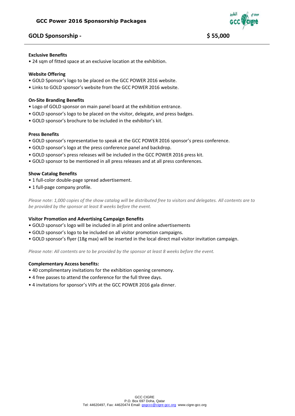# **GOLD Sponsorship - \$ 55,000**



#### **Exclusive Benefits**

• 24 sqm of fitted space at an exclusive location at the exhibition.

#### **Website Offering**

- GOLD Sponsor's logo to be placed on the GCC POWER 2016 website.
- Links to GOLD sponsor's website from the GCC POWER 2016 website.

#### **On-Site Branding Benefits**

- Logo of GOLD sponsor on main panel board at the exhibition entrance.
- GOLD sponsor's logo to be placed on the visitor, delegate, and press badges.
- GOLD sponsor's brochure to be included in the exhibitor's kit.

#### **Press Benefits**

- GOLD sponsor's representative to speak at the GCC POWER 2016 sponsor's press conference.
- GOLD sponsor's logo at the press conference panel and backdrop.
- GOLD sponsor's press releases will be included in the GCC POWER 2016 press kit.
- GOLD sponsor to be mentioned in all press releases and at all press conferences.

#### **Show Catalog Benefits**

- 1 full-color double-page spread advertisement.
- 1 full-page company profile.

*Please note: 1,000 copies of the show catalog will be distributed free to visitors and delegates. All contents are to be provided by the sponsor at least 8 weeks before the event.*

### **Visitor Promotion and Advertising Campaign Benefits**

- GOLD sponsor's logo will be included in all print and online advertisements
- GOLD sponsor's logo to be included on all visitor promotion campaigns.
- GOLD sponsor's flyer (18g max) will be inserted in the local direct mail visitor invitation campaign.

*Please note: All contents are to be provided by the sponsor at least 8 weeks before the event.*

- 40 complimentary invitations for the exhibition opening ceremony.
- 4 free passes to attend the conference for the full three days.
- 4 invitations for sponsor's VIPs at the GCC POWER 2016 gala dinner.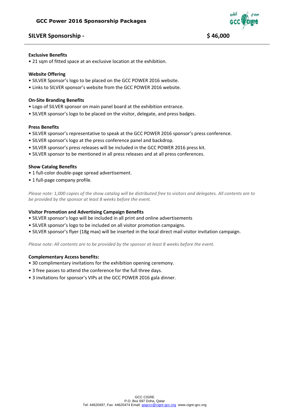# **SILVER Sponsorship - \$ 46,000**



#### **Exclusive Benefits**

• 21 sqm of fitted space at an exclusive location at the exhibition.

#### **Website Offering**

- SILVER Sponsor's logo to be placed on the GCC POWER 2016 website.
- Links to SILVER sponsor's website from the GCC POWER 2016 website.

#### **On-Site Branding Benefits**

- Logo of SILVER sponsor on main panel board at the exhibition entrance.
- SILVER sponsor's logo to be placed on the visitor, delegate, and press badges.

#### **Press Benefits**

- SILVER sponsor's representative to speak at the GCC POWER 2016 sponsor's press conference.
- SILVER sponsor's logo at the press conference panel and backdrop.
- SILVER sponsor's press releases will be included in the GCC POWER 2016 press kit.
- SILVER sponsor to be mentioned in all press releases and at all press conferences.

#### **Show Catalog Benefits**

- 1 full-color double-page spread advertisement.
- 1 full-page company profile.

*Please note: 1,000 copies of the show catalog will be distributed free to visitors and delegates. All contents are to be provided by the sponsor at least 8 weeks before the event.*

### **Visitor Promotion and Advertising Campaign Benefits**

- SILVER sponsor's logo will be included in all print and online advertisements
- SILVER sponsor's logo to be included on all visitor promotion campaigns.
- SILVER sponsor's flyer (18g max) will be inserted in the local direct mail visitor invitation campaign.

*Please note: All contents are to be provided by the sponsor at least 8 weeks before the event.*

- 30 complimentary invitations for the exhibition opening ceremony.
- 3 free passes to attend the conference for the full three days.
- 3 invitations for sponsor's VIPs at the GCC POWER 2016 gala dinner.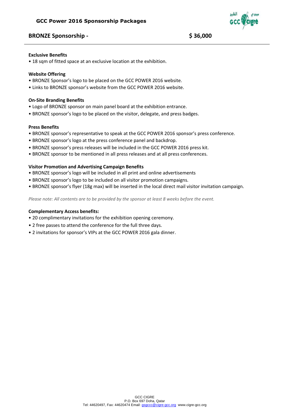# **BRONZE Sponsorship - \$ 36,000**



#### **Exclusive Benefits**

• 18 sqm of fitted space at an exclusive location at the exhibition.

#### **Website Offering**

- BRONZE Sponsor's logo to be placed on the GCC POWER 2016 website.
- Links to BRONZE sponsor's website from the GCC POWER 2016 website.

#### **On-Site Branding Benefits**

- Logo of BRONZE sponsor on main panel board at the exhibition entrance.
- BRONZE sponsor's logo to be placed on the visitor, delegate, and press badges.

#### **Press Benefits**

- BRONZE sponsor's representative to speak at the GCC POWER 2016 sponsor's press conference.
- BRONZE sponsor's logo at the press conference panel and backdrop.
- BRONZE sponsor's press releases will be included in the GCC POWER 2016 press kit.
- BRONZE sponsor to be mentioned in all press releases and at all press conferences.

### **Visitor Promotion and Advertising Campaign Benefits**

- BRONZE sponsor's logo will be included in all print and online advertisements
- BRONZE sponsor's logo to be included on all visitor promotion campaigns.
- BRONZE sponsor's flyer (18g max) will be inserted in the local direct mail visitor invitation campaign.

*Please note: All contents are to be provided by the sponsor at least 8 weeks before the event.*

- 20 complimentary invitations for the exhibition opening ceremony.
- 2 free passes to attend the conference for the full three days.
- 2 invitations for sponsor's VIPs at the GCC POWER 2016 gala dinner.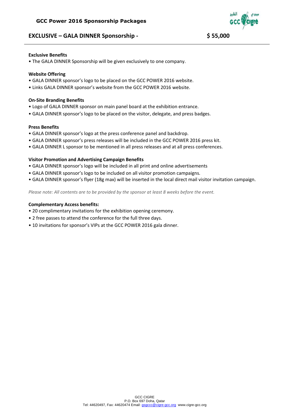# **EXCLUSIVE – GALA DINNER Sponsorship - \$ 55,000**



#### **Exclusive Benefits**

• The GALA DINNER Sponsorship will be given exclusively to one company.

#### **Website Offering**

- GALA DINNER sponsor's logo to be placed on the GCC POWER 2016 website.
- Links GALA DINNER sponsor's website from the GCC POWER 2016 website.

#### **On-Site Branding Benefits**

- Logo of GALA DINNER sponsor on main panel board at the exhibition entrance.
- GALA DINNER sponsor's logo to be placed on the visitor, delegate, and press badges.

# **Press Benefits**

- GALA DINNER sponsor's logo at the press conference panel and backdrop.
- GALA DINNER sponsor's press releases will be included in the GCC POWER 2016 press kit.
- GALA DINNER L sponsor to be mentioned in all press releases and at all press conferences.

#### **Visitor Promotion and Advertising Campaign Benefits**

- GALA DINNER sponsor's logo will be included in all print and online advertisements
- GALA DINNER sponsor's logo to be included on all visitor promotion campaigns.
- GALA DINNER sponsor's flyer (18g max) will be inserted in the local direct mail visitor invitation campaign.

*Please note: All contents are to be provided by the sponsor at least 8 weeks before the event.*

- 20 complimentary invitations for the exhibition opening ceremony.
- 2 free passes to attend the conference for the full three days.
- 10 invitations for sponsor's VIPs at the GCC POWER 2016 gala dinner.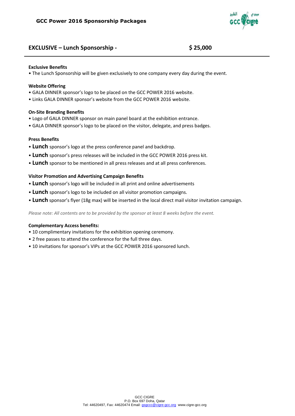

# **EXCLUSIVE – Lunch Sponsorship - \$ 25,000**

#### **Exclusive Benefits**

• The Lunch Sponsorship will be given exclusively to one company every day during the event.

#### **Website Offering**

- GALA DINNER sponsor's logo to be placed on the GCC POWER 2016 website.
- Links GALA DINNER sponsor's website from the GCC POWER 2016 website.

#### **On-Site Branding Benefits**

- Logo of GALA DINNER sponsor on main panel board at the exhibition entrance.
- GALA DINNER sponsor's logo to be placed on the visitor, delegate, and press badges.

### **Press Benefits**

- **Lunch** sponsor's logo at the press conference panel and backdrop.
- **Lunch** sponsor's press releases will be included in the GCC POWER 2016 press kit.
- **Lunch** sponsor to be mentioned in all press releases and at all press conferences.

#### **Visitor Promotion and Advertising Campaign Benefits**

- **Lunch** sponsor's logo will be included in all print and online advertisements
- **Lunch** sponsor's logo to be included on all visitor promotion campaigns.
- **Lunch** sponsor's flyer (18g max) will be inserted in the local direct mail visitor invitation campaign.

*Please note: All contents are to be provided by the sponsor at least 8 weeks before the event.*

- 10 complimentary invitations for the exhibition opening ceremony.
- 2 free passes to attend the conference for the full three days.
- 10 invitations for sponsor's VIPs at the GCC POWER 2016 sponsored lunch.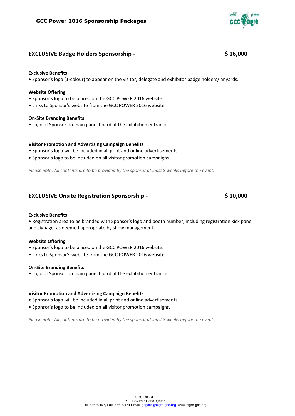# **EXCLUSIVE Badge Holders Sponsorship - \$ 16,000**

#### **Exclusive Benefits**

• Sponsor's logo (1-colour) to appear on the visitor, delegate and exhibitor badge holders/lanyards.

#### **Website Offering**

- Sponsor's logo to be placed on the GCC POWER 2016 website.
- Links to Sponsor's website from the GCC POWER 2016 website.

#### **On-Site Branding Benefits**

• Logo of Sponsor on main panel board at the exhibition entrance.

#### **Visitor Promotion and Advertising Campaign Benefits**

- Sponsor's logo will be included in all print and online advertisements
- Sponsor's logo to be included on all visitor promotion campaigns.

*Please note: All contents are to be provided by the sponsor at least 8 weeks before the event.*

# **EXCLUSIVE Onsite Registration Sponsorship - \$ 10,000**

**Exclusive Benefits**

• Registration area to be branded with Sponsor's logo and booth number, including registration kick panel and signage, as deemed appropriate by show management.

#### **Website Offering**

- Sponsor's logo to be placed on the GCC POWER 2016 website.
- Links to Sponsor's website from the GCC POWER 2016 website.

#### **On-Site Branding Benefits**

• Logo of Sponsor on main panel board at the exhibition entrance.

#### **Visitor Promotion and Advertising Campaign Benefits**

- Sponsor's logo will be included in all print and online advertisements
- Sponsor's logo to be included on all visitor promotion campaigns.

*Please note: All contents are to be provided by the sponsor at least 8 weeks before the event.*